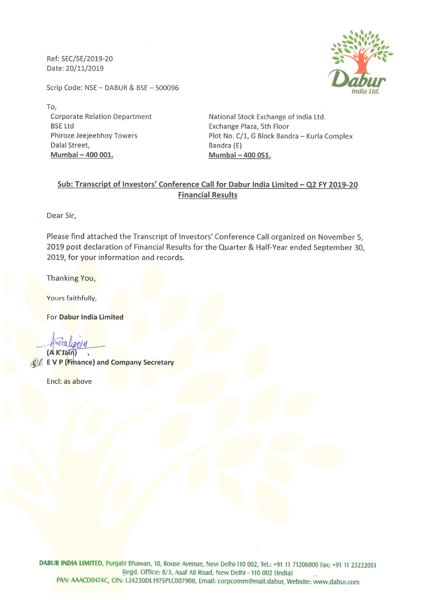Ref: SEC/SE/2019-20 Date: 20/11/2019

Scrip Code: NSE - DABUR & BSE - 500096

To, Corporate Relation Department BSE Ltd Phiroze Jeejeebhoy Towers Dalal Street, Mumbai - 400 001.

National Stock Exchange of India Ltd. Exchange Plaza, 5th Floor Plot No. C/1, G Block Bandra - Kurla Complex Bandra (E) Mumbai - 400 051.

# Sub: Transcript of Investors' Conference Call for Dabur India Limited - Q2 FY 2019-20 Financial Results

Dear Sir,

Please find attached the Transcript of Investors' Conference Call organized on November 5, 2019 post declaration of Financial Results for the Quarter & Half-Year ended September 30, 2019, for your information and records.

Thanking You,

Yours faithfully,

For Dabur India Limited

 $\ddotsc$ ca (A K Jain)

**QL E V P (Finance) and Company Secretary** 

Encl: as above

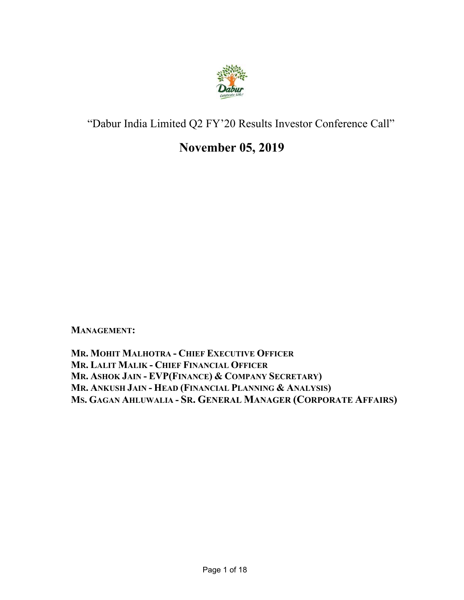

# "Dabur India Limited Q2 FY'20 Results Investor Conference Call"

# **November 05, 2019**

**MANAGEMENT:** 

**MR. MOHIT MALHOTRA - CHIEF EXECUTIVE OFFICER MR. LALIT MALIK - CHIEF FINANCIAL OFFICER MR. ASHOK JAIN - EVP(FINANCE) & COMPANY SECRETARY) MR. ANKUSH JAIN - HEAD (FINANCIAL PLANNING & ANALYSIS) MS. GAGAN AHLUWALIA - SR. GENERAL MANAGER (CORPORATE AFFAIRS)**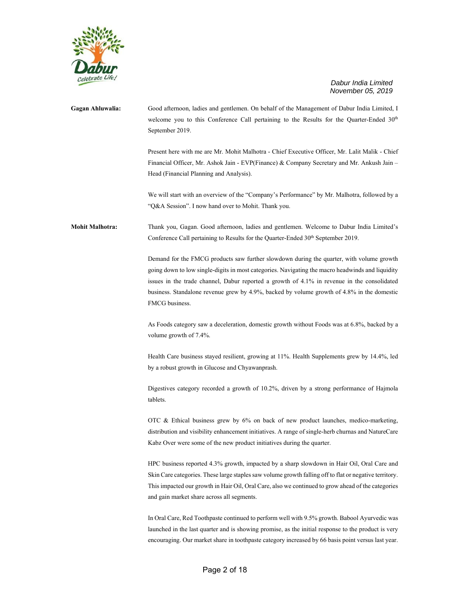

**Gagan Ahluwalia:** Good afternoon, ladies and gentlemen. On behalf of the Management of Dabur India Limited, I welcome you to this Conference Call pertaining to the Results for the Quarter-Ended 30<sup>th</sup> September 2019.

> Present here with me are Mr. Mohit Malhotra - Chief Executive Officer, Mr. Lalit Malik - Chief Financial Officer, Mr. Ashok Jain - EVP(Finance) & Company Secretary and Mr. Ankush Jain – Head (Financial Planning and Analysis).

> We will start with an overview of the "Company's Performance" by Mr. Malhotra, followed by a "Q&A Session". I now hand over to Mohit. Thank you.

**Mohit Malhotra:** Thank you, Gagan. Good afternoon, ladies and gentlemen. Welcome to Dabur India Limited's Conference Call pertaining to Results for the Quarter-Ended 30<sup>th</sup> September 2019.

> Demand for the FMCG products saw further slowdown during the quarter, with volume growth going down to low single-digits in most categories. Navigating the macro headwinds and liquidity issues in the trade channel, Dabur reported a growth of 4.1% in revenue in the consolidated business. Standalone revenue grew by 4.9%, backed by volume growth of 4.8% in the domestic FMCG business.

> As Foods category saw a deceleration, domestic growth without Foods was at 6.8%, backed by a volume growth of 7.4%.

> Health Care business stayed resilient, growing at 11%. Health Supplements grew by 14.4%, led by a robust growth in Glucose and Chyawanprash.

> Digestives category recorded a growth of 10.2%, driven by a strong performance of Hajmola tablets.

> OTC & Ethical business grew by 6% on back of new product launches, medico-marketing, distribution and visibility enhancement initiatives. A range of single-herb churnas and NatureCare Kabz Over were some of the new product initiatives during the quarter.

> HPC business reported 4.3% growth, impacted by a sharp slowdown in Hair Oil, Oral Care and Skin Care categories. These large staples saw volume growth falling off to flat or negative territory. This impacted our growth in Hair Oil, Oral Care, also we continued to grow ahead of the categories and gain market share across all segments.

> In Oral Care, Red Toothpaste continued to perform well with 9.5% growth. Babool Ayurvedic was launched in the last quarter and is showing promise, as the initial response to the product is very encouraging. Our market share in toothpaste category increased by 66 basis point versus last year.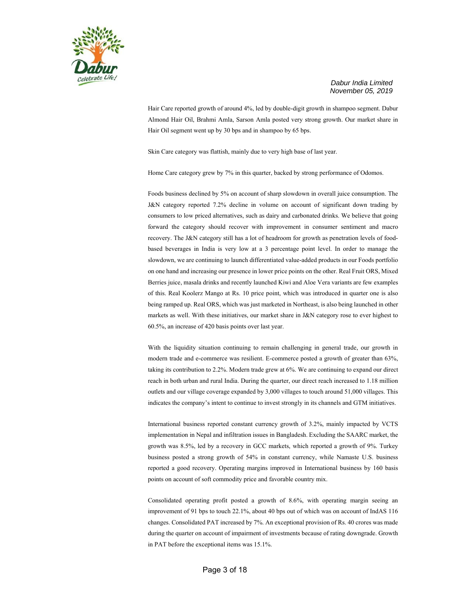

Hair Care reported growth of around 4%, led by double-digit growth in shampoo segment. Dabur Almond Hair Oil, Brahmi Amla, Sarson Amla posted very strong growth. Our market share in Hair Oil segment went up by 30 bps and in shampoo by 65 bps.

Skin Care category was flattish, mainly due to very high base of last year.

Home Care category grew by 7% in this quarter, backed by strong performance of Odomos.

Foods business declined by 5% on account of sharp slowdown in overall juice consumption. The J&N category reported 7.2% decline in volume on account of significant down trading by consumers to low priced alternatives, such as dairy and carbonated drinks. We believe that going forward the category should recover with improvement in consumer sentiment and macro recovery. The J&N category still has a lot of headroom for growth as penetration levels of foodbased beverages in India is very low at a 3 percentage point level. In order to manage the slowdown, we are continuing to launch differentiated value-added products in our Foods portfolio on one hand and increasing our presence in lower price points on the other. Real Fruit ORS, Mixed Berries juice, masala drinks and recently launched Kiwi and Aloe Vera variants are few examples of this. Real Koolerz Mango at Rs. 10 price point, which was introduced in quarter one is also being ramped up. Real ORS, which was just marketed in Northeast, is also being launched in other markets as well. With these initiatives, our market share in J&N category rose to ever highest to 60.5%, an increase of 420 basis points over last year.

With the liquidity situation continuing to remain challenging in general trade, our growth in modern trade and e-commerce was resilient. E-commerce posted a growth of greater than 63%, taking its contribution to 2.2%. Modern trade grew at 6%. We are continuing to expand our direct reach in both urban and rural India. During the quarter, our direct reach increased to 1.18 million outlets and our village coverage expanded by 3,000 villages to touch around 51,000 villages. This indicates the company's intent to continue to invest strongly in its channels and GTM initiatives.

International business reported constant currency growth of 3.2%, mainly impacted by VCTS implementation in Nepal and infiltration issues in Bangladesh. Excluding the SAARC market, the growth was 8.5%, led by a recovery in GCC markets, which reported a growth of 9%. Turkey business posted a strong growth of 54% in constant currency, while Namaste U.S. business reported a good recovery. Operating margins improved in International business by 160 basis points on account of soft commodity price and favorable country mix.

Consolidated operating profit posted a growth of 8.6%, with operating margin seeing an improvement of 91 bps to touch 22.1%, about 40 bps out of which was on account of IndAS 116 changes. Consolidated PAT increased by 7%. An exceptional provision of Rs. 40 crores was made during the quarter on account of impairment of investments because of rating downgrade. Growth in PAT before the exceptional items was 15.1%.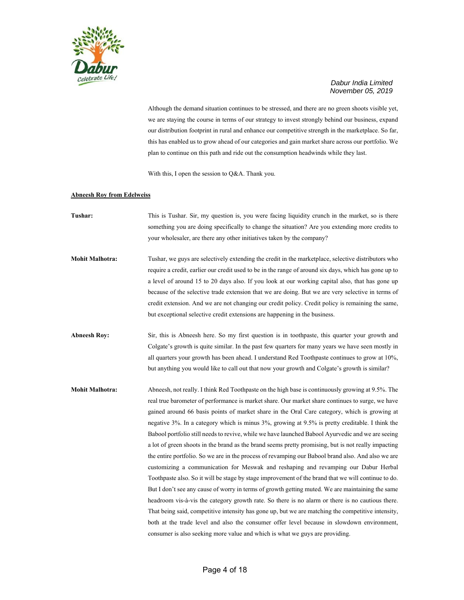

Although the demand situation continues to be stressed, and there are no green shoots visible yet, we are staying the course in terms of our strategy to invest strongly behind our business, expand our distribution footprint in rural and enhance our competitive strength in the marketplace. So far, this has enabled us to grow ahead of our categories and gain market share across our portfolio. We plan to continue on this path and ride out the consumption headwinds while they last.

With this, I open the session to Q&A. Thank you.

#### **Abneesh Roy from Edelweiss**

- **Tushar:** This is Tushar. Sir, my question is, you were facing liquidity crunch in the market, so is there something you are doing specifically to change the situation? Are you extending more credits to your wholesaler, are there any other initiatives taken by the company?
- **Mohit Malhotra:** Tushar, we guys are selectively extending the credit in the marketplace, selective distributors who require a credit, earlier our credit used to be in the range of around six days, which has gone up to a level of around 15 to 20 days also. If you look at our working capital also, that has gone up because of the selective trade extension that we are doing. But we are very selective in terms of credit extension. And we are not changing our credit policy. Credit policy is remaining the same, but exceptional selective credit extensions are happening in the business.
- **Abneesh Roy:** Sir, this is Abneesh here. So my first question is in toothpaste, this quarter your growth and Colgate's growth is quite similar. In the past few quarters for many years we have seen mostly in all quarters your growth has been ahead. I understand Red Toothpaste continues to grow at 10%, but anything you would like to call out that now your growth and Colgate's growth is similar?
- **Mohit Malhotra:** Abneesh, not really. I think Red Toothpaste on the high base is continuously growing at 9.5%. The real true barometer of performance is market share. Our market share continues to surge, we have gained around 66 basis points of market share in the Oral Care category, which is growing at negative 3%. In a category which is minus 3%, growing at 9.5% is pretty creditable. I think the Babool portfolio still needs to revive, while we have launched Babool Ayurvedic and we are seeing a lot of green shoots in the brand as the brand seems pretty promising, but is not really impacting the entire portfolio. So we are in the process of revamping our Babool brand also. And also we are customizing a communication for Meswak and reshaping and revamping our Dabur Herbal Toothpaste also. So it will be stage by stage improvement of the brand that we will continue to do. But I don't see any cause of worry in terms of growth getting muted. We are maintaining the same headroom vis-à-vis the category growth rate. So there is no alarm or there is no cautious there. That being said, competitive intensity has gone up, but we are matching the competitive intensity, both at the trade level and also the consumer offer level because in slowdown environment, consumer is also seeking more value and which is what we guys are providing.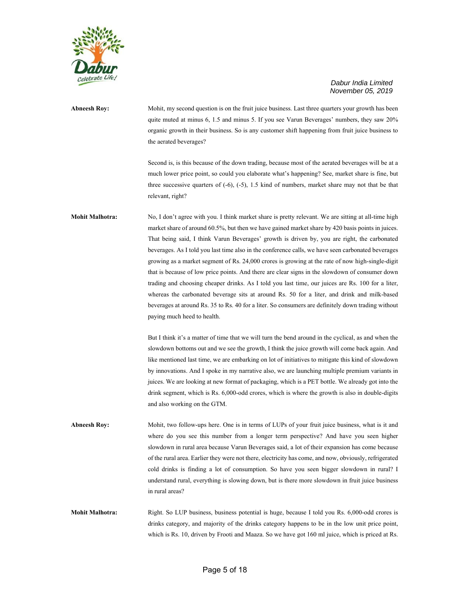

# **Abneesh Roy:** Mohit, my second question is on the fruit juice business. Last three quarters your growth has been quite muted at minus 6, 1.5 and minus 5. If you see Varun Beverages' numbers, they saw 20% organic growth in their business. So is any customer shift happening from fruit juice business to the aerated beverages?

Second is, is this because of the down trading, because most of the aerated beverages will be at a much lower price point, so could you elaborate what's happening? See, market share is fine, but three successive quarters of  $(-6)$ ,  $(-5)$ , 1.5 kind of numbers, market share may not that be that relevant, right?

**Mohit Malhotra:** No, I don't agree with you. I think market share is pretty relevant. We are sitting at all-time high market share of around 60.5%, but then we have gained market share by 420 basis points in juices. That being said, I think Varun Beverages' growth is driven by, you are right, the carbonated beverages. As I told you last time also in the conference calls, we have seen carbonated beverages growing as a market segment of Rs. 24,000 crores is growing at the rate of now high-single-digit that is because of low price points. And there are clear signs in the slowdown of consumer down trading and choosing cheaper drinks. As I told you last time, our juices are Rs. 100 for a liter, whereas the carbonated beverage sits at around Rs. 50 for a liter, and drink and milk-based beverages at around Rs. 35 to Rs. 40 for a liter. So consumers are definitely down trading without paying much heed to health.

> But I think it's a matter of time that we will turn the bend around in the cyclical, as and when the slowdown bottoms out and we see the growth, I think the juice growth will come back again. And like mentioned last time, we are embarking on lot of initiatives to mitigate this kind of slowdown by innovations. And I spoke in my narrative also, we are launching multiple premium variants in juices. We are looking at new format of packaging, which is a PET bottle. We already got into the drink segment, which is Rs. 6,000-odd crores, which is where the growth is also in double-digits and also working on the GTM.

**Abneesh Roy:** Mohit, two follow-ups here. One is in terms of LUPs of your fruit juice business, what is it and where do you see this number from a longer term perspective? And have you seen higher slowdown in rural area because Varun Beverages said, a lot of their expansion has come because of the rural area. Earlier they were not there, electricity has come, and now, obviously, refrigerated cold drinks is finding a lot of consumption. So have you seen bigger slowdown in rural? I understand rural, everything is slowing down, but is there more slowdown in fruit juice business in rural areas?

**Mohit Malhotra:** Right. So LUP business, business potential is huge, because I told you Rs. 6,000-odd crores is drinks category, and majority of the drinks category happens to be in the low unit price point, which is Rs. 10, driven by Frooti and Maaza. So we have got 160 ml juice, which is priced at Rs.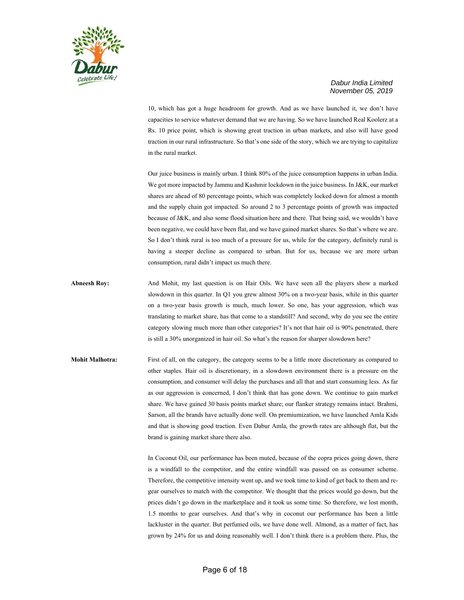

10, which has got a huge headroom for growth. And as we have launched it, we don't have capacities to service whatever demand that we are having. So we have launched Real Koolerz at a Rs. 10 price point, which is showing great traction in urban markets, and also will have good traction in our rural infrastructure. So that's one side of the story, which we are trying to capitalize in the rural market.

Our juice business is mainly urban. I think 80% of the juice consumption happens in urban India. We got more impacted by Jammu and Kashmir lockdown in the juice business. In J&K, our market shares are ahead of 80 percentage points, which was completely locked down for almost a month and the supply chain got impacted. So around 2 to 3 percentage points of growth was impacted because of J&K, and also some flood situation here and there. That being said, we wouldn't have been negative, we could have been flat, and we have gained market shares. So that's where we are. So I don't think rural is too much of a pressure for us, while for the category, definitely rural is having a steeper decline as compared to urban. But for us, because we are more urban consumption, rural didn't impact us much there.

**Abneesh Roy:** And Mohit, my last question is on Hair Oils. We have seen all the players show a marked slowdown in this quarter. In Q1 you grew almost 30% on a two-year basis, while in this quarter on a two-year basis growth is much, much lower. So one, has your aggression, which was translating to market share, has that come to a standstill? And second, why do you see the entire category slowing much more than other categories? It's not that hair oil is 90% penetrated, there is still a 30% unorganized in hair oil. So what's the reason for sharper slowdown here?

**Mohit Malhotra:** First of all, on the category, the category seems to be a little more discretionary as compared to other staples. Hair oil is discretionary, in a slowdown environment there is a pressure on the consumption, and consumer will delay the purchases and all that and start consuming less. As far as our aggression is concerned, I don't think that has gone down. We continue to gain market share. We have gained 30 basis points market share; our flanker strategy remains intact. Brahmi, Sarson, all the brands have actually done well. On premiumization, we have launched Amla Kids and that is showing good traction. Even Dabur Amla, the growth rates are although flat, but the brand is gaining market share there also.

> In Coconut Oil, our performance has been muted, because of the copra prices going down, there is a windfall to the competitor, and the entire windfall was passed on as consumer scheme. Therefore, the competitive intensity went up, and we took time to kind of get back to them and regear ourselves to match with the competitor. We thought that the prices would go down, but the prices didn't go down in the marketplace and it took us some time. So therefore, we lost month, 1.5 months to gear ourselves. And that's why in coconut our performance has been a little lackluster in the quarter. But perfumed oils, we have done well. Almond, as a matter of fact, has grown by 24% for us and doing reasonably well. I don't think there is a problem there. Plus, the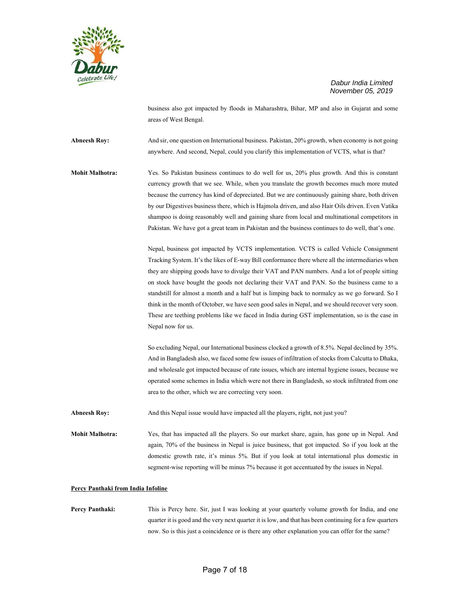

business also got impacted by floods in Maharashtra, Bihar, MP and also in Gujarat and some areas of West Bengal.

**Abneesh Roy:** And sir, one question on International business. Pakistan, 20% growth, when economy is not going anywhere. And second, Nepal, could you clarify this implementation of VCTS, what is that?

**Mohit Malhotra:** Yes. So Pakistan business continues to do well for us, 20% plus growth. And this is constant currency growth that we see. While, when you translate the growth becomes much more muted because the currency has kind of depreciated. But we are continuously gaining share, both driven by our Digestives business there, which is Hajmola driven, and also Hair Oils driven. Even Vatika shampoo is doing reasonably well and gaining share from local and multinational competitors in Pakistan. We have got a great team in Pakistan and the business continues to do well, that's one.

> Nepal, business got impacted by VCTS implementation. VCTS is called Vehicle Consignment Tracking System. It's the likes of E-way Bill conformance there where all the intermediaries when they are shipping goods have to divulge their VAT and PAN numbers. And a lot of people sitting on stock have bought the goods not declaring their VAT and PAN. So the business came to a standstill for almost a month and a half but is limping back to normalcy as we go forward. So I think in the month of October, we have seen good sales in Nepal, and we should recover very soon. These are teething problems like we faced in India during GST implementation, so is the case in Nepal now for us.

> So excluding Nepal, our International business clocked a growth of 8.5%. Nepal declined by 35%. And in Bangladesh also, we faced some few issues of infiltration of stocks from Calcutta to Dhaka, and wholesale got impacted because of rate issues, which are internal hygiene issues, because we operated some schemes in India which were not there in Bangladesh, so stock infiltrated from one area to the other, which we are correcting very soon.

**Abneesh Roy:** And this Nepal issue would have impacted all the players, right, not just you?

**Mohit Malhotra:** Yes, that has impacted all the players. So our market share, again, has gone up in Nepal. And again, 70% of the business in Nepal is juice business, that got impacted. So if you look at the domestic growth rate, it's minus 5%. But if you look at total international plus domestic in segment-wise reporting will be minus 7% because it got accentuated by the issues in Nepal.

#### **Percy Panthaki from India Infoline**

**Percy Panthaki:** This is Percy here. Sir, just I was looking at your quarterly volume growth for India, and one quarter it is good and the very next quarter it is low, and that has been continuing for a few quarters now. So is this just a coincidence or is there any other explanation you can offer for the same?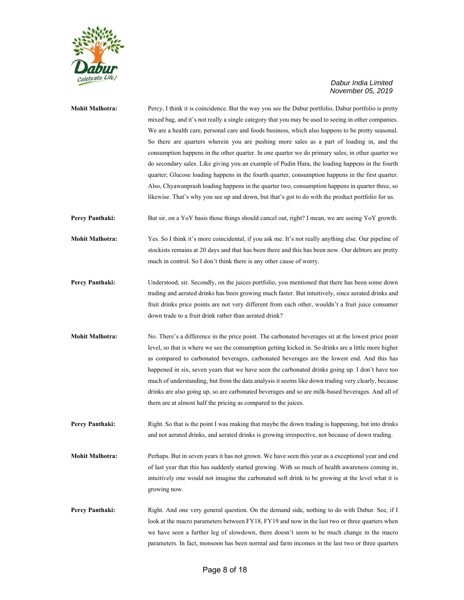

| <b>Mohit Malhotra:</b> | Percy, I think it is coincidence. But the way you see the Dabur portfolio, Dabur portfolio is pretty<br>mixed bag, and it's not really a single category that you may be used to seeing in other companies.<br>We are a health care, personal care and foods business, which also happens to be pretty seasonal.<br>So there are quarters wherein you are pushing more sales as a part of loading in, and the<br>consumption happens in the other quarter. In one quarter we do primary sales; in other quarter we<br>do secondary sales. Like giving you an example of Pudin Hara, the loading happens in the fourth<br>quarter; Glucose loading happens in the fourth quarter, consumption happens in the first quarter.<br>Also, Chyawanprash loading happens in the quarter two, consumption happens in quarter three, so<br>likewise. That's why you see up and down, but that's got to do with the product portfolio for us. |
|------------------------|------------------------------------------------------------------------------------------------------------------------------------------------------------------------------------------------------------------------------------------------------------------------------------------------------------------------------------------------------------------------------------------------------------------------------------------------------------------------------------------------------------------------------------------------------------------------------------------------------------------------------------------------------------------------------------------------------------------------------------------------------------------------------------------------------------------------------------------------------------------------------------------------------------------------------------|
| Percy Panthaki:        | But sir, on a YoY basis those things should cancel out, right? I mean, we are seeing YoY growth.                                                                                                                                                                                                                                                                                                                                                                                                                                                                                                                                                                                                                                                                                                                                                                                                                                   |
| <b>Mohit Malhotra:</b> | Yes. So I think it's more coincidental, if you ask me. It's not really anything else. Our pipeline of<br>stockists remains at 20 days and that has been there and this has been now. Our debtors are pretty<br>much in control. So I don't think there is any other cause of worry.                                                                                                                                                                                                                                                                                                                                                                                                                                                                                                                                                                                                                                                |
| Percy Panthaki:        | Understood, sir. Secondly, on the juices portfolio, you mentioned that there has been some down<br>trading and aerated drinks has been growing much faster. But intuitively, since aerated drinks and<br>fruit drinks price points are not very different from each other, wouldn't a fruit juice consumer<br>down trade to a fruit drink rather than aerated drink?                                                                                                                                                                                                                                                                                                                                                                                                                                                                                                                                                               |
| <b>Mohit Malhotra:</b> | No. There's a difference in the price point. The carbonated beverages sit at the lowest price point<br>level, so that is where we see the consumption getting kicked in. So drinks are a little more higher<br>as compared to carbonated beverages, carbonated beverages are the lowest end. And this has<br>happened in six, seven years that we have seen the carbonated drinks going up. I don't have too<br>much of understanding, but from the data analysis it seems like down trading very clearly, because<br>drinks are also going up, so are carbonated beverages and so are milk-based beverages. And all of<br>them are at almost half the pricing as compared to the juices.                                                                                                                                                                                                                                          |
| Percy Panthaki:        | Right. So that is the point I was making that maybe the down trading is happening, but into drinks<br>and not aerated drinks, and aerated drinks is growing irrespective, not because of down trading.                                                                                                                                                                                                                                                                                                                                                                                                                                                                                                                                                                                                                                                                                                                             |
| <b>Mohit Malhotra:</b> | Perhaps. But in seven years it has not grown. We have seen this year as a exceptional year and end<br>of last year that this has suddenly started growing. With so much of health awareness coming in,<br>intuitively one would not imagine the carbonated soft drink to be growing at the level what it is<br>growing now.                                                                                                                                                                                                                                                                                                                                                                                                                                                                                                                                                                                                        |
| Percy Panthaki:        | Right. And one very general question. On the demand side, nothing to do with Dabur. See, if I<br>look at the macro parameters between FY18, FY19 and now in the last two or three quarters when<br>we have seen a further leg of slowdown, there doesn't seem to be much change in the macro<br>parameters. In fact, monsoon has been normal and farm incomes in the last two or three quarters                                                                                                                                                                                                                                                                                                                                                                                                                                                                                                                                    |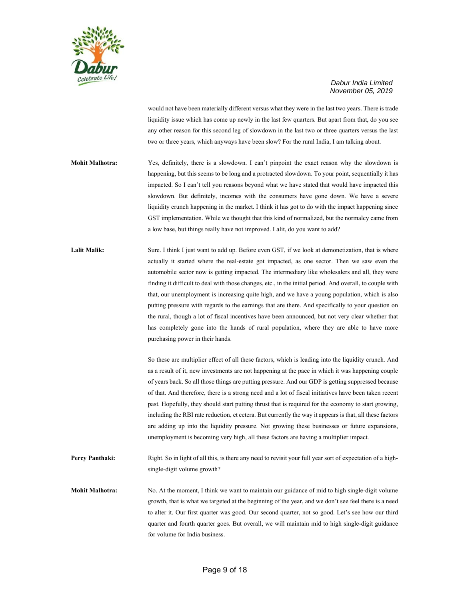

would not have been materially different versus what they were in the last two years. There is trade liquidity issue which has come up newly in the last few quarters. But apart from that, do you see any other reason for this second leg of slowdown in the last two or three quarters versus the last two or three years, which anyways have been slow? For the rural India, I am talking about.

- **Mohit Malhotra:** Yes, definitely, there is a slowdown. I can't pinpoint the exact reason why the slowdown is happening, but this seems to be long and a protracted slowdown. To your point, sequentially it has impacted. So I can't tell you reasons beyond what we have stated that would have impacted this slowdown. But definitely, incomes with the consumers have gone down. We have a severe liquidity crunch happening in the market. I think it has got to do with the impact happening since GST implementation. While we thought that this kind of normalized, but the normalcy came from a low base, but things really have not improved. Lalit, do you want to add?
- Lalit Malik: Sure. I think I just want to add up. Before even GST, if we look at demonetization, that is where actually it started where the real-estate got impacted, as one sector. Then we saw even the automobile sector now is getting impacted. The intermediary like wholesalers and all, they were finding it difficult to deal with those changes, etc., in the initial period. And overall, to couple with that, our unemployment is increasing quite high, and we have a young population, which is also putting pressure with regards to the earnings that are there. And specifically to your question on the rural, though a lot of fiscal incentives have been announced, but not very clear whether that has completely gone into the hands of rural population, where they are able to have more purchasing power in their hands.

So these are multiplier effect of all these factors, which is leading into the liquidity crunch. And as a result of it, new investments are not happening at the pace in which it was happening couple of years back. So all those things are putting pressure. And our GDP is getting suppressed because of that. And therefore, there is a strong need and a lot of fiscal initiatives have been taken recent past. Hopefully, they should start putting thrust that is required for the economy to start growing, including the RBI rate reduction, et cetera. But currently the way it appears is that, all these factors are adding up into the liquidity pressure. Not growing these businesses or future expansions, unemployment is becoming very high, all these factors are having a multiplier impact.

Percy Panthaki: Right. So in light of all this, is there any need to revisit your full year sort of expectation of a highsingle-digit volume growth?

**Mohit Malhotra:** No. At the moment, I think we want to maintain our guidance of mid to high single-digit volume growth, that is what we targeted at the beginning of the year, and we don't see feel there is a need to alter it. Our first quarter was good. Our second quarter, not so good. Let's see how our third quarter and fourth quarter goes. But overall, we will maintain mid to high single-digit guidance for volume for India business.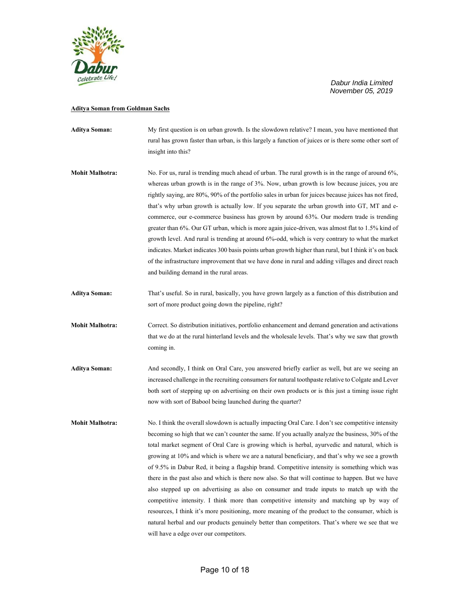

# **Aditya Soman from Goldman Sachs**

| <b>Aditya Soman:</b>   | My first question is on urban growth. Is the slowdown relative? I mean, you have mentioned that<br>rural has grown faster than urban, is this largely a function of juices or is there some other sort of<br>insight into this?                                                                                                                                                                                                                                                                                                                                                                                                                                                                                                                                                                                                                                                                                                                                                                                                                         |
|------------------------|---------------------------------------------------------------------------------------------------------------------------------------------------------------------------------------------------------------------------------------------------------------------------------------------------------------------------------------------------------------------------------------------------------------------------------------------------------------------------------------------------------------------------------------------------------------------------------------------------------------------------------------------------------------------------------------------------------------------------------------------------------------------------------------------------------------------------------------------------------------------------------------------------------------------------------------------------------------------------------------------------------------------------------------------------------|
| <b>Mohit Malhotra:</b> | No. For us, rural is trending much ahead of urban. The rural growth is in the range of around 6%,<br>whereas urban growth is in the range of 3%. Now, urban growth is low because juices, you are<br>rightly saying, are 80%, 90% of the portfolio sales in urban for juices because juices has not fired,<br>that's why urban growth is actually low. If you separate the urban growth into GT, MT and e-<br>commerce, our e-commerce business has grown by around 63%. Our modern trade is trending<br>greater than 6%. Our GT urban, which is more again juice-driven, was almost flat to 1.5% kind of<br>growth level. And rural is trending at around 6%-odd, which is very contrary to what the market<br>indicates. Market indicates 300 basis points urban growth higher than rural, but I think it's on back<br>of the infrastructure improvement that we have done in rural and adding villages and direct reach<br>and building demand in the rural areas.                                                                                   |
| <b>Aditya Soman:</b>   | That's useful. So in rural, basically, you have grown largely as a function of this distribution and<br>sort of more product going down the pipeline, right?                                                                                                                                                                                                                                                                                                                                                                                                                                                                                                                                                                                                                                                                                                                                                                                                                                                                                            |
| <b>Mohit Malhotra:</b> | Correct. So distribution initiatives, portfolio enhancement and demand generation and activations<br>that we do at the rural hinterland levels and the wholesale levels. That's why we saw that growth<br>coming in.                                                                                                                                                                                                                                                                                                                                                                                                                                                                                                                                                                                                                                                                                                                                                                                                                                    |
| <b>Aditya Soman:</b>   | And secondly, I think on Oral Care, you answered briefly earlier as well, but are we seeing an<br>increased challenge in the recruiting consumers for natural toothpaste relative to Colgate and Lever<br>both sort of stepping up on advertising on their own products or is this just a timing issue right<br>now with sort of Babool being launched during the quarter?                                                                                                                                                                                                                                                                                                                                                                                                                                                                                                                                                                                                                                                                              |
| <b>Mohit Malhotra:</b> | No. I think the overall slowdown is actually impacting Oral Care. I don't see competitive intensity<br>becoming so high that we can't counter the same. If you actually analyze the business, 30% of the<br>total market segment of Oral Care is growing which is herbal, ayurvedic and natural, which is<br>growing at 10% and which is where we are a natural beneficiary, and that's why we see a growth<br>of 9.5% in Dabur Red, it being a flagship brand. Competitive intensity is something which was<br>there in the past also and which is there now also. So that will continue to happen. But we have<br>also stepped up on advertising as also on consumer and trade inputs to match up with the<br>competitive intensity. I think more than competitive intensity and matching up by way of<br>resources, I think it's more positioning, more meaning of the product to the consumer, which is<br>natural herbal and our products genuinely better than competitors. That's where we see that we<br>will have a edge over our competitors. |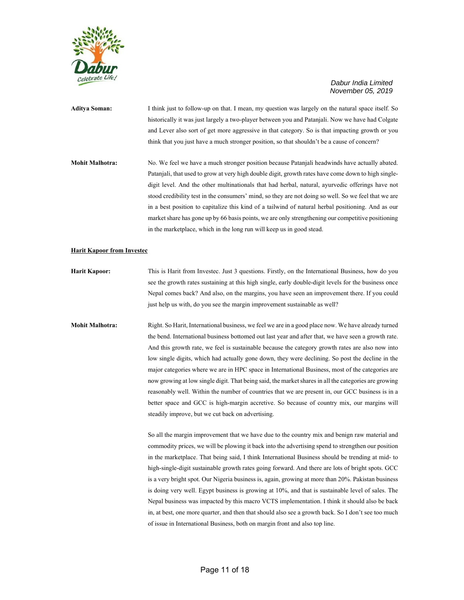

**Aditya Soman:** I think just to follow-up on that. I mean, my question was largely on the natural space itself. So historically it was just largely a two-player between you and Patanjali. Now we have had Colgate and Lever also sort of get more aggressive in that category. So is that impacting growth or you think that you just have a much stronger position, so that shouldn't be a cause of concern?

**Mohit Malhotra:** No. We feel we have a much stronger position because Patanjali headwinds have actually abated. Patanjali, that used to grow at very high double digit, growth rates have come down to high singledigit level. And the other multinationals that had herbal, natural, ayurvedic offerings have not stood credibility test in the consumers' mind, so they are not doing so well. So we feel that we are in a best position to capitalize this kind of a tailwind of natural herbal positioning. And as our market share has gone up by 66 basis points, we are only strengthening our competitive positioning in the marketplace, which in the long run will keep us in good stead.

#### **Harit Kapoor from Investec**

**Harit Kapoor:** This is Harit from Investec. Just 3 questions. Firstly, on the International Business, how do you see the growth rates sustaining at this high single, early double-digit levels for the business once Nepal comes back? And also, on the margins, you have seen an improvement there. If you could just help us with, do you see the margin improvement sustainable as well?

**Mohit Malhotra:** Right. So Harit, International business, we feel we are in a good place now. We have already turned the bend. International business bottomed out last year and after that, we have seen a growth rate. And this growth rate, we feel is sustainable because the category growth rates are also now into low single digits, which had actually gone down, they were declining. So post the decline in the major categories where we are in HPC space in International Business, most of the categories are now growing at low single digit. That being said, the market shares in all the categories are growing reasonably well. Within the number of countries that we are present in, our GCC business is in a better space and GCC is high-margin accretive. So because of country mix, our margins will steadily improve, but we cut back on advertising.

> So all the margin improvement that we have due to the country mix and benign raw material and commodity prices, we will be plowing it back into the advertising spend to strengthen our position in the marketplace. That being said, I think International Business should be trending at mid- to high-single-digit sustainable growth rates going forward. And there are lots of bright spots. GCC is a very bright spot. Our Nigeria business is, again, growing at more than 20%. Pakistan business is doing very well. Egypt business is growing at 10%, and that is sustainable level of sales. The Nepal business was impacted by this macro VCTS implementation. I think it should also be back in, at best, one more quarter, and then that should also see a growth back. So I don't see too much of issue in International Business, both on margin front and also top line.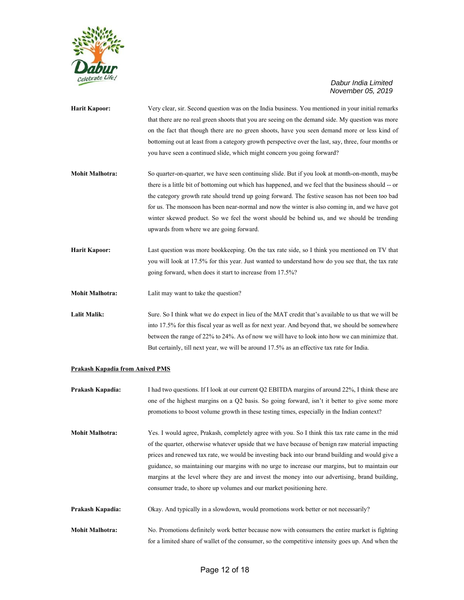

| <b>Harit Kapoor:</b>                          | Very clear, sir. Second question was on the India business. You mentioned in your initial remarks<br>that there are no real green shoots that you are seeing on the demand side. My question was more<br>on the fact that though there are no green shoots, have you seen demand more or less kind of<br>bottoming out at least from a category growth perspective over the last, say, three, four months or<br>you have seen a continued slide, which might concern you going forward?                                                                |
|-----------------------------------------------|--------------------------------------------------------------------------------------------------------------------------------------------------------------------------------------------------------------------------------------------------------------------------------------------------------------------------------------------------------------------------------------------------------------------------------------------------------------------------------------------------------------------------------------------------------|
| <b>Mohit Malhotra:</b>                        | So quarter-on-quarter, we have seen continuing slide. But if you look at month-on-month, maybe<br>there is a little bit of bottoming out which has happened, and we feel that the business should -- or<br>the category growth rate should trend up going forward. The festive season has not been too bad<br>for us. The monsoon has been near-normal and now the winter is also coming in, and we have got<br>winter skewed product. So we feel the worst should be behind us, and we should be trending<br>upwards from where we are going forward. |
| <b>Harit Kapoor:</b>                          | Last question was more bookkeeping. On the tax rate side, so I think you mentioned on TV that<br>you will look at 17.5% for this year. Just wanted to understand how do you see that, the tax rate<br>going forward, when does it start to increase from 17.5%?                                                                                                                                                                                                                                                                                        |
| <b>Mohit Malhotra:</b><br><b>Lalit Malik:</b> | Lalit may want to take the question?<br>Sure. So I think what we do expect in lieu of the MAT credit that's available to us that we will be<br>into 17.5% for this fiscal year as well as for next year. And beyond that, we should be somewhere<br>between the range of 22% to 24%. As of now we will have to look into how we can minimize that.<br>But certainly, till next year, we will be around 17.5% as an effective tax rate for India.                                                                                                       |

# **Prakash Kapadia from Anived PMS**

| Prakash Kapadia:       | I had two questions. If I look at our current Q2 EBITDA margins of around 22%, I think these are<br>one of the highest margins on a Q2 basis. So going forward, isn't it better to give some more<br>promotions to boost volume growth in these testing times, especially in the Indian context?                                                                                                                                                                                                                                                                                    |
|------------------------|-------------------------------------------------------------------------------------------------------------------------------------------------------------------------------------------------------------------------------------------------------------------------------------------------------------------------------------------------------------------------------------------------------------------------------------------------------------------------------------------------------------------------------------------------------------------------------------|
| <b>Mohit Malhotra:</b> | Yes. I would agree, Prakash, completely agree with you. So I think this tax rate came in the mid<br>of the quarter, otherwise whatever upside that we have because of benign raw material impacting<br>prices and renewed tax rate, we would be investing back into our brand building and would give a<br>guidance, so maintaining our margins with no urge to increase our margins, but to maintain our<br>margins at the level where they are and invest the money into our advertising, brand building,<br>consumer trade, to shore up volumes and our market positioning here. |
| Prakash Kapadia:       | Okay. And typically in a slowdown, would promotions work better or not necessarily?                                                                                                                                                                                                                                                                                                                                                                                                                                                                                                 |
| <b>Mohit Malhotra:</b> | No. Promotions definitely work better because now with consumers the entire market is fighting<br>for a limited share of wallet of the consumer, so the competitive intensity goes up. And when the                                                                                                                                                                                                                                                                                                                                                                                 |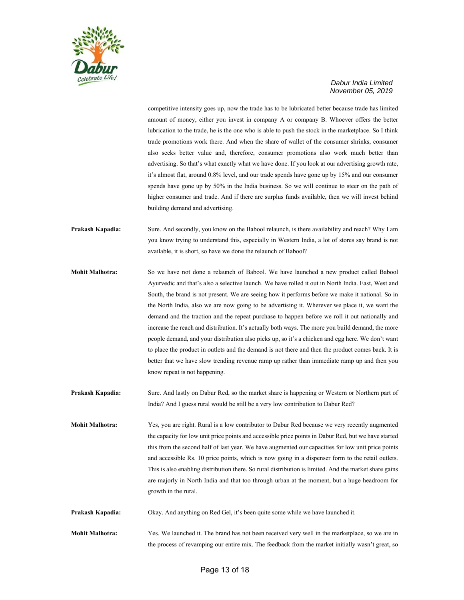

competitive intensity goes up, now the trade has to be lubricated better because trade has limited amount of money, either you invest in company A or company B. Whoever offers the better lubrication to the trade, he is the one who is able to push the stock in the marketplace. So I think trade promotions work there. And when the share of wallet of the consumer shrinks, consumer also seeks better value and, therefore, consumer promotions also work much better than advertising. So that's what exactly what we have done. If you look at our advertising growth rate, it's almost flat, around 0.8% level, and our trade spends have gone up by 15% and our consumer spends have gone up by 50% in the India business. So we will continue to steer on the path of higher consumer and trade. And if there are surplus funds available, then we will invest behind building demand and advertising.

- **Prakash Kapadia:** Sure. And secondly, you know on the Babool relaunch, is there availability and reach? Why I am you know trying to understand this, especially in Western India, a lot of stores say brand is not available, it is short, so have we done the relaunch of Babool?
- **Mohit Malhotra:** So we have not done a relaunch of Babool. We have launched a new product called Babool Ayurvedic and that's also a selective launch. We have rolled it out in North India. East, West and South, the brand is not present. We are seeing how it performs before we make it national. So in the North India, also we are now going to be advertising it. Wherever we place it, we want the demand and the traction and the repeat purchase to happen before we roll it out nationally and increase the reach and distribution. It's actually both ways. The more you build demand, the more people demand, and your distribution also picks up, so it's a chicken and egg here. We don't want to place the product in outlets and the demand is not there and then the product comes back. It is better that we have slow trending revenue ramp up rather than immediate ramp up and then you know repeat is not happening.
- **Prakash Kapadia:** Sure. And lastly on Dabur Red, so the market share is happening or Western or Northern part of India? And I guess rural would be still be a very low contribution to Dabur Red?
- **Mohit Malhotra:** Yes, you are right. Rural is a low contributor to Dabur Red because we very recently augmented the capacity for low unit price points and accessible price points in Dabur Red, but we have started this from the second half of last year. We have augmented our capacities for low unit price points and accessible Rs. 10 price points, which is now going in a dispenser form to the retail outlets. This is also enabling distribution there. So rural distribution is limited. And the market share gains are majorly in North India and that too through urban at the moment, but a huge headroom for growth in the rural.
- **Prakash Kapadia:** Okay. And anything on Red Gel, it's been quite some while we have launched it.
- **Mohit Malhotra:** Yes. We launched it. The brand has not been received very well in the marketplace, so we are in the process of revamping our entire mix. The feedback from the market initially wasn't great, so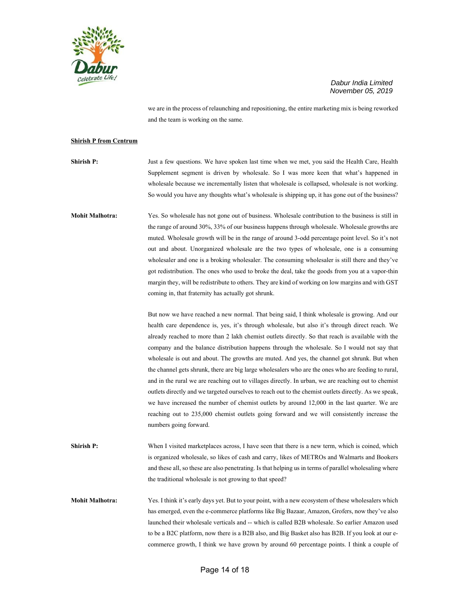

we are in the process of relaunching and repositioning, the entire marketing mix is being reworked and the team is working on the same.

#### **Shirish P from Centrum**

**Shirish P:** Just a few questions. We have spoken last time when we met, you said the Health Care, Health Supplement segment is driven by wholesale. So I was more keen that what's happened in wholesale because we incrementally listen that wholesale is collapsed, wholesale is not working. So would you have any thoughts what's wholesale is shipping up, it has gone out of the business?

**Mohit Malhotra:** Yes. So wholesale has not gone out of business. Wholesale contribution to the business is still in the range of around 30%, 33% of our business happens through wholesale. Wholesale growths are muted. Wholesale growth will be in the range of around 3-odd percentage point level. So it's not out and about. Unorganized wholesale are the two types of wholesale, one is a consuming wholesaler and one is a broking wholesaler. The consuming wholesaler is still there and they've got redistribution. The ones who used to broke the deal, take the goods from you at a vapor-thin margin they, will be redistribute to others. They are kind of working on low margins and with GST coming in, that fraternity has actually got shrunk.

> But now we have reached a new normal. That being said, I think wholesale is growing. And our health care dependence is, yes, it's through wholesale, but also it's through direct reach. We already reached to more than 2 lakh chemist outlets directly. So that reach is available with the company and the balance distribution happens through the wholesale. So I would not say that wholesale is out and about. The growths are muted. And yes, the channel got shrunk. But when the channel gets shrunk, there are big large wholesalers who are the ones who are feeding to rural, and in the rural we are reaching out to villages directly. In urban, we are reaching out to chemist outlets directly and we targeted ourselves to reach out to the chemist outlets directly. As we speak, we have increased the number of chemist outlets by around 12,000 in the last quarter. We are reaching out to 235,000 chemist outlets going forward and we will consistently increase the numbers going forward.

**Shirish P:** When I visited marketplaces across, I have seen that there is a new term, which is coined, which is organized wholesale, so likes of cash and carry, likes of METROs and Walmarts and Bookers and these all, so these are also penetrating. Is that helping us in terms of parallel wholesaling where the traditional wholesale is not growing to that speed?

**Mohit Malhotra:** Yes. I think it's early days yet. But to your point, with a new ecosystem of these wholesalers which has emerged, even the e-commerce platforms like Big Bazaar, Amazon, Grofers, now they've also launched their wholesale verticals and -- which is called B2B wholesale. So earlier Amazon used to be a B2C platform, now there is a B2B also, and Big Basket also has B2B. If you look at our ecommerce growth, I think we have grown by around 60 percentage points. I think a couple of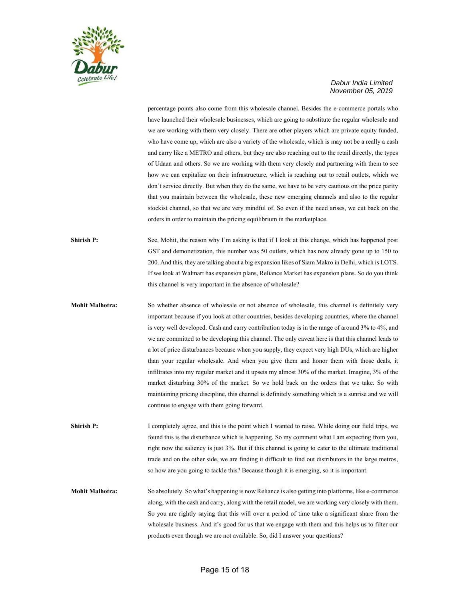

percentage points also come from this wholesale channel. Besides the e-commerce portals who have launched their wholesale businesses, which are going to substitute the regular wholesale and we are working with them very closely. There are other players which are private equity funded, who have come up, which are also a variety of the wholesale, which is may not be a really a cash and carry like a METRO and others, but they are also reaching out to the retail directly, the types of Udaan and others. So we are working with them very closely and partnering with them to see how we can capitalize on their infrastructure, which is reaching out to retail outlets, which we don't service directly. But when they do the same, we have to be very cautious on the price parity that you maintain between the wholesale, these new emerging channels and also to the regular stockist channel, so that we are very mindful of. So even if the need arises, we cut back on the orders in order to maintain the pricing equilibrium in the marketplace.

**Shirish P:** See, Mohit, the reason why I'm asking is that if I look at this change, which has happened post GST and demonetization, this number was 50 outlets, which has now already gone up to 150 to 200. And this, they are talking about a big expansion likes of Siam Makro in Delhi, which is LOTS. If we look at Walmart has expansion plans, Reliance Market has expansion plans. So do you think this channel is very important in the absence of wholesale?

**Mohit Malhotra:** So whether absence of wholesale or not absence of wholesale, this channel is definitely very important because if you look at other countries, besides developing countries, where the channel is very well developed. Cash and carry contribution today is in the range of around 3% to 4%, and we are committed to be developing this channel. The only caveat here is that this channel leads to a lot of price disturbances because when you supply, they expect very high DUs, which are higher than your regular wholesale. And when you give them and honor them with those deals, it infiltrates into my regular market and it upsets my almost 30% of the market. Imagine, 3% of the market disturbing 30% of the market. So we hold back on the orders that we take. So with maintaining pricing discipline, this channel is definitely something which is a sunrise and we will continue to engage with them going forward.

**Shirish P:** I completely agree, and this is the point which I wanted to raise. While doing our field trips, we found this is the disturbance which is happening. So my comment what I am expecting from you, right now the saliency is just 3%. But if this channel is going to cater to the ultimate traditional trade and on the other side, we are finding it difficult to find out distributors in the large metros, so how are you going to tackle this? Because though it is emerging, so it is important.

**Mohit Malhotra:** So absolutely. So what's happening is now Reliance is also getting into platforms, like e-commerce along, with the cash and carry, along with the retail model, we are working very closely with them. So you are rightly saying that this will over a period of time take a significant share from the wholesale business. And it's good for us that we engage with them and this helps us to filter our products even though we are not available. So, did I answer your questions?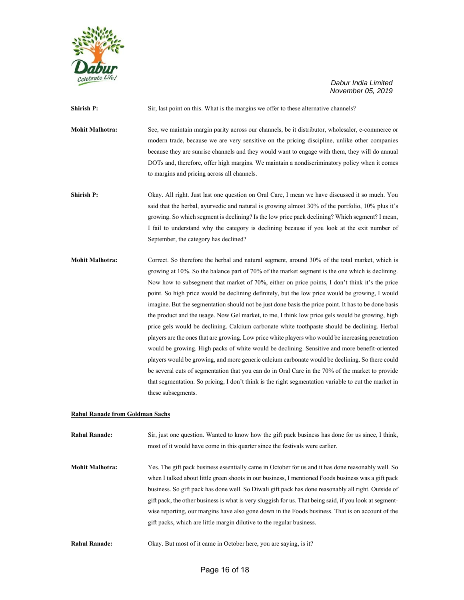

**Shirish P:** Sir, last point on this. What is the margins we offer to these alternative channels? **Mohit Malhotra:** See, we maintain margin parity across our channels, be it distributor, wholesaler, e-commerce or modern trade, because we are very sensitive on the pricing discipline, unlike other companies because they are sunrise channels and they would want to engage with them, they will do annual DOTs and, therefore, offer high margins. We maintain a nondiscriminatory policy when it comes to margins and pricing across all channels. **Shirish P:** Okay. All right. Just last one question on Oral Care, I mean we have discussed it so much. You said that the herbal, ayurvedic and natural is growing almost 30% of the portfolio, 10% plus it's growing. So which segment is declining? Is the low price pack declining? Which segment? I mean,

September, the category has declined?

I fail to understand why the category is declining because if you look at the exit number of

**Mohit Malhotra:** Correct. So therefore the herbal and natural segment, around 30% of the total market, which is growing at 10%. So the balance part of 70% of the market segment is the one which is declining. Now how to subsegment that market of 70%, either on price points, I don't think it's the price point. So high price would be declining definitely, but the low price would be growing, I would imagine. But the segmentation should not be just done basis the price point. It has to be done basis the product and the usage. Now Gel market, to me, I think low price gels would be growing, high price gels would be declining. Calcium carbonate white toothpaste should be declining. Herbal players are the ones that are growing. Low price white players who would be increasing penetration would be growing. High packs of white would be declining. Sensitive and more benefit-oriented players would be growing, and more generic calcium carbonate would be declining. So there could be several cuts of segmentation that you can do in Oral Care in the 70% of the market to provide that segmentation. So pricing, I don't think is the right segmentation variable to cut the market in these subsegments.

#### **Rahul Ranade from Goldman Sachs**

**Rahul Ranade:** Sir, just one question. Wanted to know how the gift pack business has done for us since, I think, most of it would have come in this quarter since the festivals were earlier.

**Mohit Malhotra:** Yes. The gift pack business essentially came in October for us and it has done reasonably well. So when I talked about little green shoots in our business, I mentioned Foods business was a gift pack business. So gift pack has done well. So Diwali gift pack has done reasonably all right. Outside of gift pack, the other business is what is very sluggish for us. That being said, if you look at segmentwise reporting, our margins have also gone down in the Foods business. That is on account of the gift packs, which are little margin dilutive to the regular business.

**Rahul Ranade:** Okay. But most of it came in October here, you are saying, is it?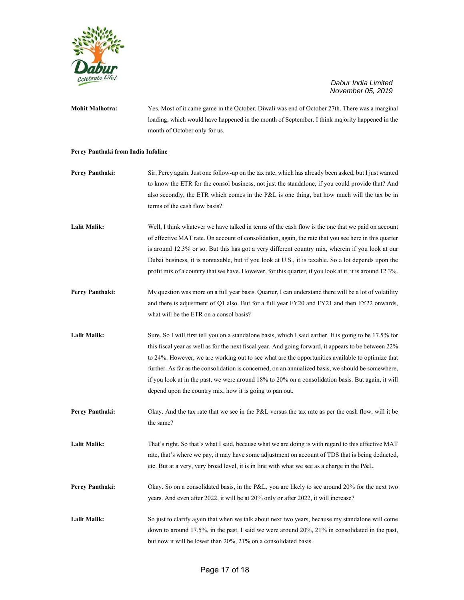

**Mohit Malhotra:** Yes. Most of it came game in the October. Diwali was end of October 27th. There was a marginal loading, which would have happened in the month of September. I think majority happened in the month of October only for us.

#### **Percy Panthaki from India Infoline**

- **Percy Panthaki:** Sir, Percy again. Just one follow-up on the tax rate, which has already been asked, but I just wanted to know the ETR for the consol business, not just the standalone, if you could provide that? And also secondly, the ETR which comes in the P&L is one thing, but how much will the tax be in terms of the cash flow basis?
- **Lalit Malik:** Well, I think whatever we have talked in terms of the cash flow is the one that we paid on account of effective MAT rate. On account of consolidation, again, the rate that you see here in this quarter is around 12.3% or so. But this has got a very different country mix, wherein if you look at our Dubai business, it is nontaxable, but if you look at U.S., it is taxable. So a lot depends upon the profit mix of a country that we have. However, for this quarter, if you look at it, it is around 12.3%.
- **Percy Panthaki:** My question was more on a full year basis. Quarter, I can understand there will be a lot of volatility and there is adjustment of Q1 also. But for a full year FY20 and FY21 and then FY22 onwards, what will be the ETR on a consol basis?
- Lalit Malik: Sure. So I will first tell you on a standalone basis, which I said earlier. It is going to be 17.5% for this fiscal year as well as for the next fiscal year. And going forward, it appears to be between 22% to 24%. However, we are working out to see what are the opportunities available to optimize that further. As far as the consolidation is concerned, on an annualized basis, we should be somewhere, if you look at in the past, we were around 18% to 20% on a consolidation basis. But again, it will depend upon the country mix, how it is going to pan out.
- **Percy Panthaki:** Okay. And the tax rate that we see in the P&L versus the tax rate as per the cash flow, will it be the same?
- Lalit Malik: That's right. So that's what I said, because what we are doing is with regard to this effective MAT rate, that's where we pay, it may have some adjustment on account of TDS that is being deducted, etc. But at a very, very broad level, it is in line with what we see as a charge in the P&L.
- **Percy Panthaki:** Okay. So on a consolidated basis, in the P&L, you are likely to see around 20% for the next two years. And even after 2022, it will be at 20% only or after 2022, it will increase?
- Lalit Malik: So just to clarify again that when we talk about next two years, because my standalone will come down to around 17.5%, in the past. I said we were around 20%, 21% in consolidated in the past, but now it will be lower than 20%, 21% on a consolidated basis.